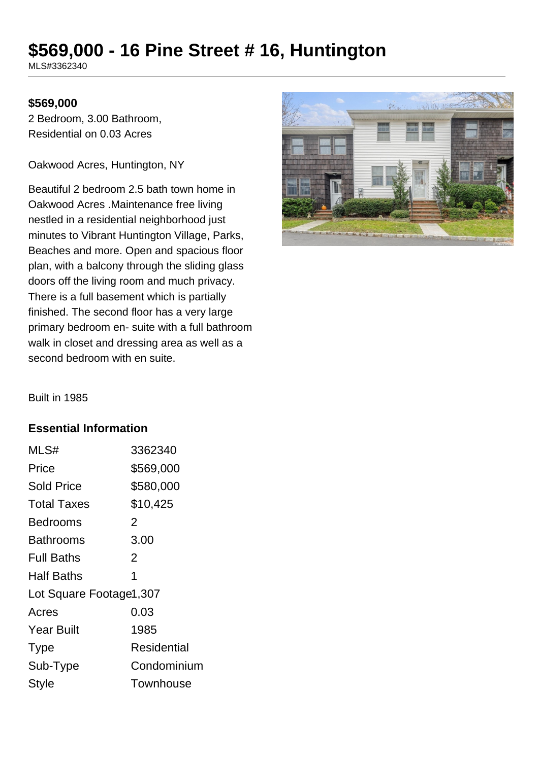# **\$569,000 - 16 Pine Street # 16, Huntington**

MLS#3362340

#### **\$569,000**

2 Bedroom, 3.00 Bathroom, Residential on 0.03 Acres

Oakwood Acres, Huntington, NY

Beautiful 2 bedroom 2.5 bath town home in Oakwood Acres .Maintenance free living nestled in a residential neighborhood just minutes to Vibrant Huntington Village, Parks, Beaches and more. Open and spacious floor plan, with a balcony through the sliding glass doors off the living room and much privacy. There is a full basement which is partially finished. The second floor has a very large primary bedroom en- suite with a full bathroom walk in closet and dressing area as well as a second bedroom with en suite.



Built in 1985

### **Essential Information**

| MLS#                    | 3362340          |
|-------------------------|------------------|
| Price                   | \$569,000        |
| <b>Sold Price</b>       | \$580,000        |
| <b>Total Taxes</b>      | \$10,425         |
| Bedrooms                | 2                |
| Bathrooms               | 3.00             |
| <b>Full Baths</b>       | 2                |
| <b>Half Baths</b>       | 1                |
| Lot Square Footage1,307 |                  |
| Acres                   | 0.03             |
| <b>Year Built</b>       | 1985             |
| <b>Type</b>             | Residential      |
| Sub-Type                | Condominium      |
| <b>Style</b>            | <b>Townhouse</b> |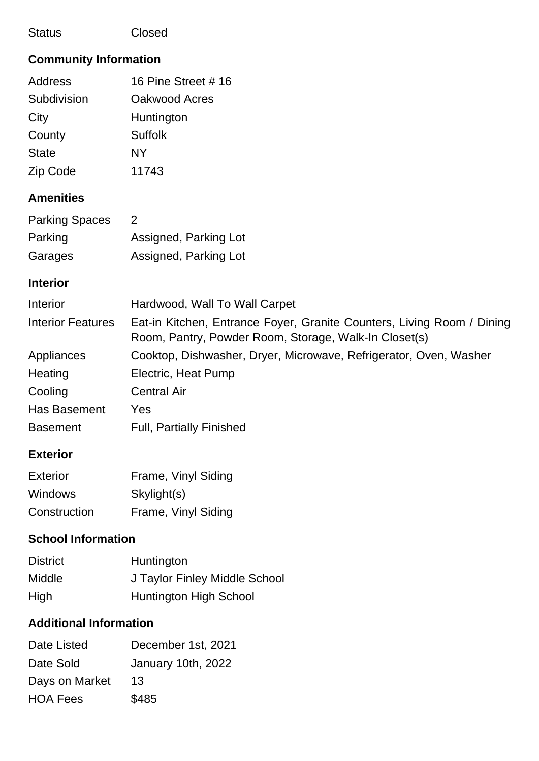| <b>Status</b>                | Closed                                                                                                                          |
|------------------------------|---------------------------------------------------------------------------------------------------------------------------------|
| <b>Community Information</b> |                                                                                                                                 |
| <b>Address</b>               | 16 Pine Street # 16                                                                                                             |
| Subdivision                  | Oakwood Acres                                                                                                                   |
| City                         | Huntington                                                                                                                      |
| County                       | <b>Suffolk</b>                                                                                                                  |
| <b>State</b>                 | <b>NY</b>                                                                                                                       |
| Zip Code                     | 11743                                                                                                                           |
| <b>Amenities</b>             |                                                                                                                                 |
| <b>Parking Spaces</b>        | $\overline{2}$                                                                                                                  |
| Parking                      | Assigned, Parking Lot                                                                                                           |
| Garages                      | Assigned, Parking Lot                                                                                                           |
| <b>Interior</b>              |                                                                                                                                 |
| Interior                     | Hardwood, Wall To Wall Carpet                                                                                                   |
| <b>Interior Features</b>     | Eat-in Kitchen, Entrance Foyer, Granite Counters, Living Room / Dining<br>Room, Pantry, Powder Room, Storage, Walk-In Closet(s) |
| Appliances                   | Cooktop, Dishwasher, Dryer, Microwave, Refrigerator, Oven, Washer                                                               |
| Heating                      | Electric, Heat Pump                                                                                                             |
| Cooling                      | <b>Central Air</b>                                                                                                              |
| Has Basement                 | Yes                                                                                                                             |
| <b>Basement</b>              | <b>Full, Partially Finished</b>                                                                                                 |
| <b>Exterior</b>              |                                                                                                                                 |
| <b>Exterior</b>              | Frame, Vinyl Siding                                                                                                             |
| Windows                      | Skylight(s)                                                                                                                     |
| Construction                 | Frame, Vinyl Siding                                                                                                             |
| <b>School Information</b>    |                                                                                                                                 |
| <b>District</b>              | Huntington                                                                                                                      |
| Middle                       | J Taylor Finley Middle School                                                                                                   |

High **Huntington High School** 

## **Additional Information**

| Date Listed     | December 1st, 2021 |
|-----------------|--------------------|
| Date Sold       | January 10th, 2022 |
| Days on Market  | 13                 |
| <b>HOA Fees</b> | \$485              |